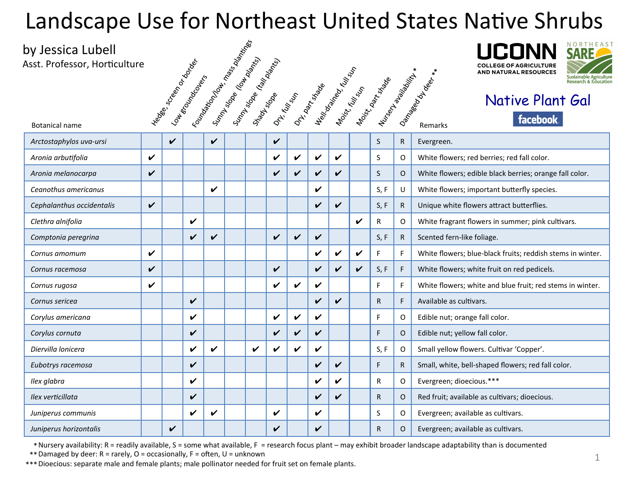## Landscape Use for Northeast United States Native Shrubs<br>by Jessica Lubell<br>Asst. Professor, Horticulture<br>
Served States Mative Plant Gal

## by Jessica Lubell





## Native Plant Gal

| uy Jessica Lubell<br>Asst. Professor, Horticulture |                    |             |                                       |   |                                                               |   |                                          |   |              |                    |                    |                                                                                                                                                                                                                                                                               |              | <b>COLLEGE OF AGRICULTURE</b><br>AND NATURAL RESOURCES<br>$*$<br>Sustainable Agricult<br><b>Research &amp; Educat</b> |
|----------------------------------------------------|--------------------|-------------|---------------------------------------|---|---------------------------------------------------------------|---|------------------------------------------|---|--------------|--------------------|--------------------|-------------------------------------------------------------------------------------------------------------------------------------------------------------------------------------------------------------------------------------------------------------------------------|--------------|-----------------------------------------------------------------------------------------------------------------------|
| <b>Botanical name</b>                              |                    |             | Header Screen Dance<br>Loudenderderer |   | I Foundation of the Mass of Manus<br>Sumpsion (In the domina) |   | Sunny sope (taly policida)<br>Stage Stop |   |              |                    |                    | <b>Dr. Kungdom Dr. Kungdom School River School School River School School School School School School School School School School School School School School School School School School School School School School School Sch</b><br>Nursey<br><sup>Model</sup> enia Milit |              | Dangeon Duber *<br>Native Plant Gal<br>facebook.<br>Remarks                                                           |
| Arctostaphylos uva-ursi                            |                    | $\mathbf v$ |                                       | V |                                                               |   |                                          |   |              |                    |                    |                                                                                                                                                                                                                                                                               | $\mathsf{R}$ | Evergreen.                                                                                                            |
| Aronia arbutifolia                                 | $\boldsymbol{\nu}$ |             |                                       |   |                                                               |   | V                                        | ✓ | V            | V                  |                    | S                                                                                                                                                                                                                                                                             | O            | White flowers; red berries; red fall color.                                                                           |
| Aronia melanocarpa                                 | $\checkmark$       |             |                                       |   |                                                               |   | V                                        | ✓ | V            | V                  |                    | S                                                                                                                                                                                                                                                                             | $\circ$      | White flowers; edible black berries; orange fall color.                                                               |
| Ceanothus americanus                               |                    |             |                                       | V |                                                               |   |                                          |   | ✔            |                    |                    | S, F                                                                                                                                                                                                                                                                          | U            | White flowers; important butterfly species.                                                                           |
| Cephalanthus occidentalis                          | $\checkmark$       |             |                                       |   |                                                               |   |                                          |   | V            | $\checkmark$       |                    | S, F                                                                                                                                                                                                                                                                          | $\mathsf{R}$ | Unique white flowers attract butterflies.                                                                             |
| Clethra alnifolia                                  |                    |             | V                                     |   |                                                               |   |                                          |   |              |                    | $\boldsymbol{\nu}$ | R                                                                                                                                                                                                                                                                             | $\circ$      | White fragrant flowers in summer; pink cultivars.                                                                     |
| Comptonia peregrina                                |                    |             | $\boldsymbol{\nu}$                    | V |                                                               |   | $\checkmark$                             | V | $\checkmark$ |                    |                    | S, F                                                                                                                                                                                                                                                                          | $\mathsf{R}$ | Scented fern-like foliage.                                                                                            |
| Cornus amomum                                      | $\boldsymbol{\nu}$ |             |                                       |   |                                                               |   |                                          |   | V            | V                  | V                  | F                                                                                                                                                                                                                                                                             | F            | White flowers; blue-black fruits; reddish stems in winter.                                                            |
| Cornus racemosa                                    | V                  |             |                                       |   |                                                               |   | $\checkmark$                             |   | ✓            | $\boldsymbol{\nu}$ | V                  | S, F                                                                                                                                                                                                                                                                          | F            | White flowers; white fruit on red pedicels.                                                                           |
| Cornus rugosa                                      | $\checkmark$       |             |                                       |   |                                                               |   | V                                        | V | V            |                    |                    | F                                                                                                                                                                                                                                                                             | F            | White flowers; white and blue fruit; red stems in winter.                                                             |
| Cornus sericea                                     |                    |             | V                                     |   |                                                               |   |                                          |   | V            | V                  |                    | R                                                                                                                                                                                                                                                                             | F            | Available as cultivars.                                                                                               |
| Corylus americana                                  |                    |             | V                                     |   |                                                               |   | $\mathbf v$                              | ✓ | V            |                    |                    | F                                                                                                                                                                                                                                                                             | $\circ$      | Edible nut; orange fall color.                                                                                        |
| Corylus cornuta                                    |                    |             | V                                     |   |                                                               |   | $\checkmark$                             | ✓ | V            |                    |                    | F                                                                                                                                                                                                                                                                             | $\circ$      | Edible nut; yellow fall color.                                                                                        |
| Diervilla lonicera                                 |                    |             | V                                     | V |                                                               | V | V                                        | V | V            |                    |                    | S, F                                                                                                                                                                                                                                                                          | 0            | Small yellow flowers. Cultivar 'Copper'.                                                                              |
| Eubotrys racemosa                                  |                    |             | V                                     |   |                                                               |   |                                          |   | V            | V                  |                    | F                                                                                                                                                                                                                                                                             | $\mathsf{R}$ | Small, white, bell-shaped flowers; red fall color.                                                                    |
| Ilex glabra                                        |                    |             | ✓                                     |   |                                                               |   |                                          |   | ✓            | ✓                  |                    | $\mathsf{R}$                                                                                                                                                                                                                                                                  | $\circ$      | Evergreen; dioecious.***                                                                                              |
| Ilex verticillata                                  |                    |             | V                                     |   |                                                               |   |                                          |   | ✓            | V                  |                    | $\mathsf{R}$                                                                                                                                                                                                                                                                  | $\circ$      | Red fruit; available as cultivars; dioecious.                                                                         |
| Juniperus communis                                 |                    |             | ✓                                     | V |                                                               |   | V                                        |   | ✓            |                    |                    | S                                                                                                                                                                                                                                                                             | 0            | Evergreen; available as cultivars.                                                                                    |
| Juniperus horizontalis                             |                    | V           |                                       |   |                                                               |   | V                                        |   | V            |                    |                    | R                                                                                                                                                                                                                                                                             | O            | Evergreen; available as cultivars.                                                                                    |

\* Nursery availability: R = readily available, S = some what available, F = research focus plant – may exhibit broader landscape adaptability than is documented

 $*$  Damaged by deer:  $R$  = rarely, O = occasionally, F = often, U = unknown

\*\*\* Dioecious: separate male and female plants; male pollinator needed for fruit set on female plants.